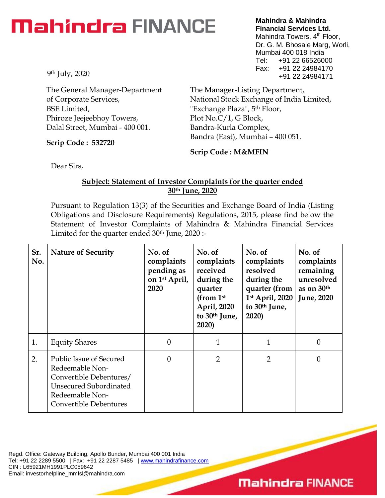## **Mahindra FINANCE**

9th July, 2020

The General Manager-Department of Corporate Services, BSE Limited, Phiroze Jeejeebhoy Towers, Dalal Street, Mumbai - 400 001.

**Scrip Code : 532720**

**Mahindra & Mahindra Financial Services Ltd.** Mahindra Towers, 4<sup>th</sup> Floor, Dr. G. M. Bhosale Marg, Worli, Mumbai 400 018 India Tel: +91 22 66526000 Fax: +91 22 24984170 +91 22 24984171

The Manager-Listing Department, National Stock Exchange of India Limited, "Exchange Plaza", 5th Floor, Plot No.C/1, G Block, Bandra-Kurla Complex, Bandra (East), Mumbai – 400 051.

**Scrip Code : M&MFIN**

Dear Sirs,

### **Subject: Statement of Investor Complaints for the quarter ended 30th June, 2020**

Pursuant to Regulation 13(3) of the Securities and Exchange Board of India (Listing Obligations and Disclosure Requirements) Regulations, 2015, please find below the Statement of Investor Complaints of Mahindra & Mahindra Financial Services Limited for the quarter ended  $30<sup>th</sup>$  June,  $2020$  :-

| Sr.<br>No. | <b>Nature of Security</b>                                                                                                                                  | No. of<br>complaints<br>pending as<br>on 1 <sup>st</sup> April,<br>2020 | No. of<br>complaints<br>received<br>during the<br>quarter<br>(from $1st$<br>April, 2020<br>to 30 <sup>th</sup> June,<br>2020) | No. of<br>complaints<br>resolved<br>during the<br>quarter (from<br>$1st$ April, 2020<br>to 30 <sup>th</sup> June,<br>2020) | No. of<br>complaints<br>remaining<br>unresolved<br>as on 30th<br><b>June</b> , 2020 |
|------------|------------------------------------------------------------------------------------------------------------------------------------------------------------|-------------------------------------------------------------------------|-------------------------------------------------------------------------------------------------------------------------------|----------------------------------------------------------------------------------------------------------------------------|-------------------------------------------------------------------------------------|
| 1.         | <b>Equity Shares</b>                                                                                                                                       | 0                                                                       | 1                                                                                                                             | 1                                                                                                                          | $\Omega$                                                                            |
| 2.         | <b>Public Issue of Secured</b><br>Redeemable Non-<br>Convertible Debentures/<br><b>Unsecured Subordinated</b><br>Redeemable Non-<br>Convertible Debentures | 0                                                                       | 2                                                                                                                             | 2                                                                                                                          | $\Omega$                                                                            |

Regd. Office: Gateway Building, Apollo Bunder, Mumbai 400 001 India Tel: +91 22 2289 5500 | Fax: +91 22 2287 5485 | [www.mahindrafinance.com](http://www.mahindrafinance.com/) CIN : L65921MH1991PLC059642 Email: investorhelpline\_mmfsl@mahindra.com

### **Mahindra FINANCE**